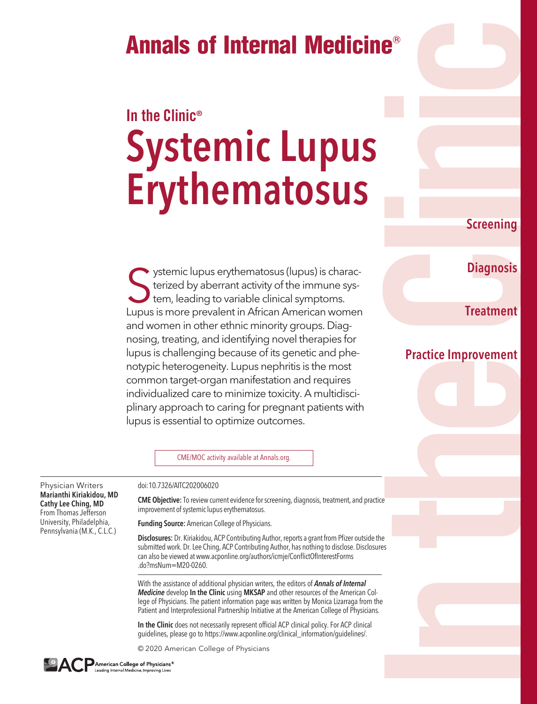# **Annals of Internal Medicine**-

# **In the Clinic®** Systemic Lupus Erythematosus

Systemic lupus erythematosus (lupus) is characterized by aberrant activity of the immune system, leading to variable clinical symptoms.<br>Lupus is more prevalent in African American women ystemic lupus erythematosus (lupus) is characterized by aberrant activity of the immune system, leading to variable clinical symptoms. and women in other ethnic minority groups. Diagnosing, treating, and identifying novel therapies for lupus is challenging because of its genetic and phenotypic heterogeneity. Lupus nephritis is the most common target-organ manifestation and requires individualized care to minimize toxicity. A multidisciplinary approach to caring for pregnant patients with lupus is essential to optimize outcomes.

#### CME/MOC activity available at [Annals.org.](http://www.annals.org)

Physician Writers Marianthi Kiriakidou, MD Cathy Lee Ching, MD From Thomas Jefferson University, Philadelphia, Pennsylvania (M.K., C.L.C.)

doi:10.7326/AITC202006020

CME Objective: To review current evidence for screening, diagnosis, treatment, and practice improvement of systemic lupus erythematosus.

Funding Source: American College of Physicians.

Disclosures: Dr. Kiriakidou, ACP Contributing Author, reports a grant from Pfizer outside the submitted work. Dr. Lee Ching, ACP Contributing Author, has nothing to disclose. Disclosures can also be viewed at [www.acponline.org/authors/icmje/ConflictOfInterestForms](http://www.acponline.org/authors/icmje/ConflictOfInterestForms.do?msNum=M20-0260) [.do?msNum=M20-0260.](http://www.acponline.org/authors/icmje/ConflictOfInterestForms.do?msNum=M20-0260)

With the assistance of additional physician writers, the editors of **Annals of Internal** Medicine develop In the Clinic using MKSAP and other resources of the American College of Physicians. The patient information page was written by Monica Lizarraga from the Patient and Interprofessional Partnership Initiative at the American College of Physicians.

In the Clinic does not necessarily represent official ACP clinical policy. For ACP clinical guidelines, please go to [https://www.acponline.org/clinical\\_information/guidelines/.](https://www.acponline.org/clinical_information/guidelines/)

© 2020 American College of Physicians



**Diagnosis** 

Screening

Treatment

## Practice Improvement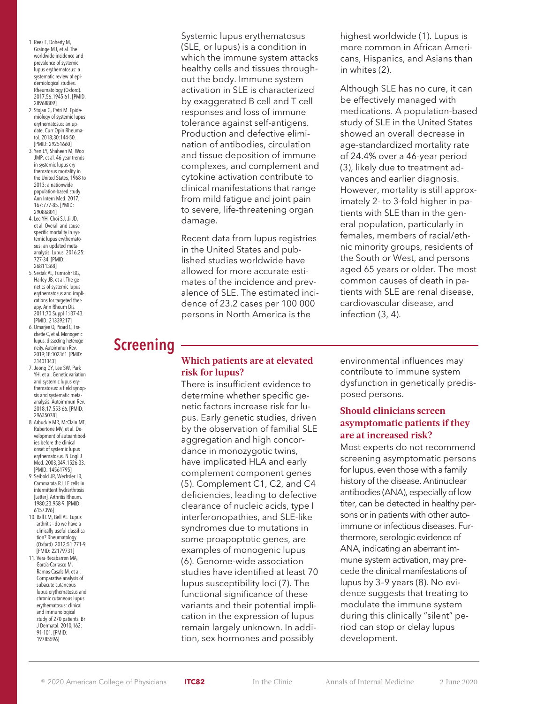1. Rees F, Doherty M, Grainge MJ, et al. The worldwide incidence and prevalence of systemic lupus erythematosus: a systematic review of epidemiological studies. Rheumatology (Oxford). 2017;56:1945-61. [PMID: 28968809]

2. Stojan G, Petri M. Epidemiology of systemic lupus erythematosus: an update. Curr Opin Rheumatol. 2018;30:144-50. [PMID: 29251660]

3. Yen EY, Shaheen M, Woo JMP, et al. 46-year trends in systemic lupus erythematosus mortality in the United States, 1968 to 2013: a nationwide population-based study. Ann Intern Med. 2017; 167:777-85. [PMID: 29086801]

4. Lee YH, Choi SJ, Ji JD, et al. Overall and causespecific mortality in systemic lupus erythematosus: an updated metaanalysis. Lupus. 2016;25: 727-34. [PMID: 26811368]

5. Sestak AL, Fürnrohr BG, Harley JB, et al. The genetics of systemic lupus erythematosus and implications for targeted therapy. Ann Rheum Dis. 2011;70 Suppl 1:i37-43. [PMID: 21339217]

- 6. Omarjee O, Picard C, Frachette C, et al. Monogenic lupus: dissecting heterogeneity. Autoimmun Rev. 2019;18:102361. [PMID: 31401343]
- 7. Jeong DY, Lee SW, Park YH, et al. Genetic variation and systemic lupus erythematosus: a field synopsis and systematic metaanalysis. Autoimmun Rev. 2018;17:553-66. [PMID: 29635078]
- 8. Arbuckle MR, McClain MT, Rubertone MV, et al. Development of autoantibodies before the clinical onset of systemic lupus erythematosus. N Engl J Med. 2003;349:1526-33. [PMID: 14561795]
- 9. Seibold JR, Wechsler LR, Cammarata RJ. LE cells in intermittent hydrarthrosis [Letter]. Arthritis Rheum. 1980;23:958-9. [PMID: 6157396]
- 10. Ball EM, Bell AL. Lupus arthritis—do we have a clinically useful classification? Rheumatology (Oxford). 2012;51:771-9. [PMID: 22179731]

11. Vera-Recabarren MA, García-Carrasco M, Ramos-Casals M, et al. Comparative analysis of subacute cutaneous lupus erythematosus and chronic cutaneous lupus erythematosus: clinical and immunological study of 270 patients. Br J Dermatol. 2010;162: 91-101. [PMID: 19785596]

Systemic lupus erythematosus (SLE, or lupus) is a condition in which the immune system attacks healthy cells and tissues throughout the body. Immune system activation in SLE is characterized by exaggerated B cell and T cell responses and loss of immune tolerance against self-antigens. Production and defective elimination of antibodies, circulation and tissue deposition of immune complexes, and complement and cytokine activation contribute to clinical manifestations that range from mild fatigue and joint pain to severe, life-threatening organ damage.

Recent data from lupus registries in the United States and published studies worldwide have allowed for more accurate estimates of the incidence and prevalence of SLE. The estimated incidence of 23.2 cases per 100 000 persons in North America is the

highest worldwide (1). Lupus is more common in African Americans, Hispanics, and Asians than in whites (2).

Although SLE has no cure, it can be effectively managed with medications. A population-based study of SLE in the United States showed an overall decrease in age-standardized mortality rate of 24.4% over a 46-year period (3), likely due to treatment advances and earlier diagnosis. However, mortality is still approximately 2- to 3-fold higher in patients with SLE than in the general population, particularly in females, members of racial/ethnic minority groups, residents of the South or West, and persons aged 65 years or older. The most common causes of death in patients with SLE are renal disease, cardiovascular disease, and infection (3, 4).

# Screening

#### **Which patients are at elevated risk for lupus?**

There is insufficient evidence to determine whether specific genetic factors increase risk for lupus. Early genetic studies, driven by the observation of familial SLE aggregation and high concordance in monozygotic twins, have implicated HLA and early complement component genes (5). Complement C1, C2, and C4 deficiencies, leading to defective clearance of nucleic acids, type I interferonopathies, and SLE-like syndromes due to mutations in some proapoptotic genes, are examples of monogenic lupus (6). Genome-wide association studies have identified at least 70 lupus susceptibility loci (7). The functional significance of these variants and their potential implication in the expression of lupus remain largely unknown. In addition, sex hormones and possibly

environmental influences may contribute to immune system dysfunction in genetically predisposed persons.

#### **Should clinicians screen asymptomatic patients if they are at increased risk?**

Most experts do not recommend screening asymptomatic persons for lupus, even those with a family history of the disease. Antinuclear antibodies (ANA), especially of low titer, can be detected in healthy persons or in patients with other autoimmune or infectious diseases. Furthermore, serologic evidence of ANA, indicating an aberrant immune system activation, may precede the clinical manifestations of lupus by 3–9 years (8). No evidence suggests that treating to modulate the immune system during this clinically "silent" period can stop or delay lupus development.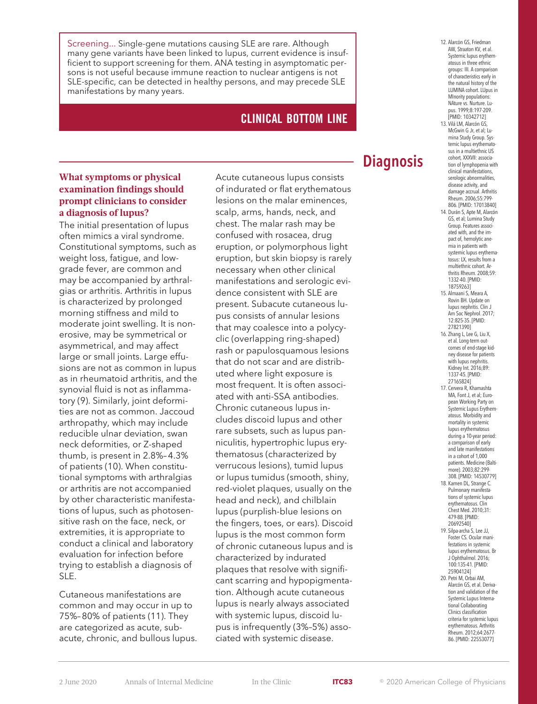Screening... Single-gene mutations causing SLE are rare. Although many gene variants have been linked to lupus, current evidence is insufficient to support screening for them. ANA testing in asymptomatic persons is not useful because immune reaction to nuclear antigens is not SLE-specific, can be detected in healthy persons, and may precede SLE manifestations by many years.

## **CLINICAL BOTTOM LINE**

#### **What symptoms or physical examination findings should prompt clinicians to consider a diagnosis of lupus?**

The initial presentation of lupus often mimics a viral syndrome. Constitutional symptoms, such as weight loss, fatigue, and lowgrade fever, are common and may be accompanied by arthralgias or arthritis. Arthritis in lupus is characterized by prolonged morning stiffness and mild to moderate joint swelling. It is nonerosive, may be symmetrical or asymmetrical, and may affect large or small joints. Large effusions are not as common in lupus as in rheumatoid arthritis, and the synovial fluid is not as inflammatory (9). Similarly, joint deformities are not as common. Jaccoud arthropathy, which may include reducible ulnar deviation, swan neck deformities, or Z-shaped thumb, is present in 2.8%– 4.3% of patients (10). When constitutional symptoms with arthralgias or arthritis are not accompanied by other characteristic manifestations of lupus, such as photosensitive rash on the face, neck, or extremities, it is appropriate to conduct a clinical and laboratory evaluation for infection before trying to establish a diagnosis of SLE.

Cutaneous manifestations are common and may occur in up to 75%– 80% of patients (11). They are categorized as acute, subacute, chronic, and bullous lupus. Acute cutaneous lupus consists of indurated or flat erythematous lesions on the malar eminences, scalp, arms, hands, neck, and chest. The malar rash may be confused with rosacea, drug eruption, or polymorphous light eruption, but skin biopsy is rarely necessary when other clinical manifestations and serologic evidence consistent with SLE are present. Subacute cutaneous lupus consists of annular lesions that may coalesce into a polycyclic (overlapping ring-shaped) rash or papulosquamous lesions that do not scar and are distributed where light exposure is most frequent. It is often associated with anti-SSA antibodies. Chronic cutaneous lupus includes discoid lupus and other rare subsets, such as lupus panniculitis, hypertrophic lupus erythematosus (characterized by verrucous lesions), tumid lupus or lupus tumidus (smooth, shiny, red-violet plaques, usually on the head and neck), and chilblain lupus (purplish-blue lesions on the fingers, toes, or ears). Discoid lupus is the most common form of chronic cutaneous lupus and is characterized by indurated plaques that resolve with significant scarring and hypopigmentation. Although acute cutaneous lupus is nearly always associated with systemic lupus, discoid lupus is infrequently (3%–5%) associated with systemic disease.

# **Diagnosis**

- 19. Silpa-archa S, Lee JJ, Foster CS. Ocular manifestations in systemic lupus erythematosus. Br J Ophthalmol. 2016; 100:135-41. [PMID: 25904124] 20. Petri M, Orbai AM,
- Alarcón GS, et al. Derivation and validation of the Systemic Lupus International Collaborating Clinics classification criteria for systemic lupus erythematosus. Arthritis Rheum. 2012;64:2677- 86. [PMID: 22553077]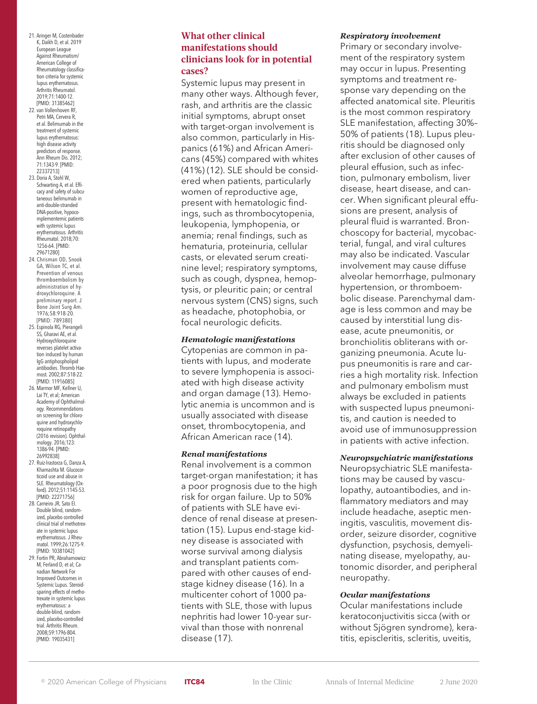21. Aringer M, Costenbader K, Daikh D, et al. 2019 European League Against Rheumatism/ American College of Rheumatology classification criteria for systemic lupus erythematosus. Arthritis Rheumatol. 2019;71:1400-12. [PMID: 31385462]

22. van Vollenhoven RF, Petri MA, Cervera R, et al. Belimumab in the treatment of systemic lupus erythematosus: high disease activity predictors of response. Ann Rheum Dis. 2012; 71:1343-9. [PMID: 22337213]

- 23. Doria A, Stohl W, Schwarting A, et al. Efficacy and safety of subcutaneous belimumab in anti-double-stranded DNA-positive, hypocomplementemic patients with systemic lupus erythematosus. Arthritis Rheumatol. 2018;70: 1256-64. [PMID: 29671280]
- 24. Chrisman OD, Snook GA, Wilson TC, et al. Prevention of venous thromboembolism by administration of hydroxychloroquine. A preliminary report. J Bone Joint Surg Am. 1976;58:918-20. [PMID: 789380]
- 25. Espinola RG, Pierangeli SS, Gharavi AE, et al. Hydroxychloroquine reverses platelet activation induced by human IgG antiphospholipid antibodies. Thromb Haemost. 2002;87:518-22. [PMID: 11916085]
- 26. Marmor MF, Kellner U, Lai TY, et al; American Academy of Ophthalmology. Recommendations on screening for chloroquine and hydroxychloroquine retinopathy (2016 revision). Ophthalmology. 2016;123: 1386-94. [PMID: 26992838]
- 27. Ruiz-Irastorza G, Danza A, Khamashta M. Glucocorticoid use and abuse in SLE. Rheumatology (Oxford). 2012;51:1145-53. [PMID: 22271756]
- 28. Carneiro JR, Sato EI. Double blind, randomized, placebo controlled clinical trial of methotrexate in systemic lupus erythematosus. J Rheumatol. 1999;26:1275-9. [PMID: 10381042]
- 29. Fortin PR, Abrahamowicz M, Ferland D, et al; Canadian Network For Improved Outcomes in Systemic Lupus. Steroidsparing effects of methotrexate in systemic lupus erythematosus: a double-blind, randomized, placebo-controlled trial. Arthritis Rheum. 2008;59:1796-804. [PMID: 19035431]

#### **What other clinical manifestations should clinicians look for in potential cases?**

Systemic lupus may present in many other ways. Although fever, rash, and arthritis are the classic initial symptoms, abrupt onset with target-organ involvement is also common, particularly in Hispanics (61%) and African Americans (45%) compared with whites (41%) (12). SLE should be considered when patients, particularly women of reproductive age, present with hematologic findings, such as thrombocytopenia, leukopenia, lymphopenia, or anemia; renal findings, such as hematuria, proteinuria, cellular casts, or elevated serum creatinine level; respiratory symptoms, such as cough, dyspnea, hemoptysis, or pleuritic pain; or central nervous system (CNS) signs, such as headache, photophobia, or focal neurologic deficits.

#### *Hematologic manifestations*

Cytopenias are common in patients with lupus, and moderate to severe lymphopenia is associated with high disease activity and organ damage (13). Hemolytic anemia is uncommon and is usually associated with disease onset, thrombocytopenia, and African American race (14).

#### *Renal manifestations*

Renal involvement is a common target-organ manifestation; it has a poor prognosis due to the high risk for organ failure. Up to 50% of patients with SLE have evidence of renal disease at presentation (15). Lupus end-stage kidney disease is associated with worse survival among dialysis and transplant patients compared with other causes of endstage kidney disease (16). In a multicenter cohort of 1000 patients with SLE, those with lupus nephritis had lower 10-year survival than those with nonrenal disease (17).

#### *Respiratory involvement*

Primary or secondary involvement of the respiratory system may occur in lupus. Presenting symptoms and treatment response vary depending on the affected anatomical site. Pleuritis is the most common respiratory SLE manifestation, affecting 30%– 50% of patients (18). Lupus pleuritis should be diagnosed only after exclusion of other causes of pleural effusion, such as infection, pulmonary embolism, liver disease, heart disease, and cancer. When significant pleural effusions are present, analysis of pleural fluid is warranted. Bronchoscopy for bacterial, mycobacterial, fungal, and viral cultures may also be indicated. Vascular involvement may cause diffuse alveolar hemorrhage, pulmonary hypertension, or thromboembolic disease. Parenchymal damage is less common and may be caused by interstitial lung disease, acute pneumonitis, or bronchiolitis obliterans with organizing pneumonia. Acute lupus pneumonitis is rare and carries a high mortality risk. Infection and pulmonary embolism must always be excluded in patients with suspected lupus pneumonitis, and caution is needed to avoid use of immunosuppression in patients with active infection.

#### *Neuropsychiatric manifestations*

Neuropsychiatric SLE manifestations may be caused by vasculopathy, autoantibodies, and inflammatory mediators and may include headache, aseptic meningitis, vasculitis, movement disorder, seizure disorder, cognitive dysfunction, psychosis, demyelinating disease, myelopathy, autonomic disorder, and peripheral neuropathy.

#### *Ocular manifestations*

Ocular manifestations include keratoconjuctivitis sicca (with or without Sjögren syndrome), keratitis, episcleritis, scleritis, uveitis,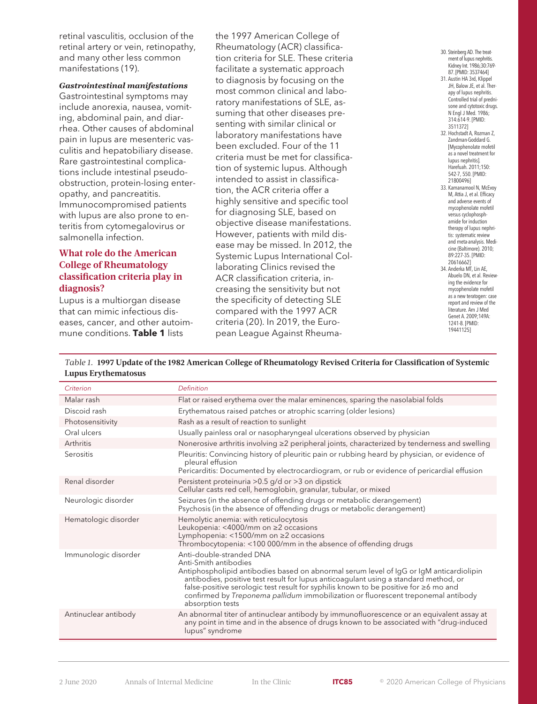retinal vasculitis, occlusion of the retinal artery or vein, retinopathy, and many other less common manifestations (19).

#### *Gastrointestinal manifestations*

Gastrointestinal symptoms may include anorexia, nausea, vomiting, abdominal pain, and diarrhea. Other causes of abdominal pain in lupus are mesenteric vasculitis and hepatobiliary disease. Rare gastrointestinal complications include intestinal pseudoobstruction, protein-losing enteropathy, and pancreatitis. Immunocompromised patients with lupus are also prone to enteritis from cytomegalovirus or salmonella infection.

#### **What role do the American College of Rheumatology classification criteria play in diagnosis?**

Lupus is a multiorgan disease that can mimic infectious diseases, cancer, and other autoimmune conditions. **Table 1** lists

the 1997 American College of Rheumatology (ACR) classification criteria for SLE. These criteria facilitate a systematic approach to diagnosis by focusing on the most common clinical and laboratory manifestations of SLE, assuming that other diseases presenting with similar clinical or laboratory manifestations have been excluded. Four of the 11 criteria must be met for classification of systemic lupus. Although intended to assist in classification, the ACR criteria offer a highly sensitive and specific tool for diagnosing SLE, based on objective disease manifestations. However, patients with mild disease may be missed. In 2012, the Systemic Lupus International Collaborating Clinics revised the ACR classification criteria, increasing the sensitivity but not the specificity of detecting SLE compared with the 1997 ACR criteria (20). In 2019, the European League Against Rheuma-

30. Steinberg AD. The treatment of lupus nephritis. Kidney Int. 1986;30:769- 87. [PMID: 3537464]

31. Austin HA 3rd, Klippel JH, Balow JE, et al. Therapy of lupus nephritis. Controlled trial of prednisone and cytotoxic drugs. N Engl J Med. 1986; 314:614-9. [PMID: 3511372]

32. Hochstadt A, Rozman Z, Zandman-Goddard G. [Mycophenolate mofetil as a novel treatment for lupus nephritis]. Harefuah. 2011;150: 542-7, 550. [PMID: 21800496]

33. Kamanamool N, McEvoy M, Attia J, et al. Efficacy and adverse events of mycophenolate mofetil versus cyclophosphamide for induction therapy of lupus nephritis: systematic review and meta-analysis. Medicine (Baltimore). 2010; 89:227-35. [PMID: 20616662] 34. Anderka MT, Lin AE,

Abuelo DN, et al. Reviewing the evidence for mycophenolate mofetil as a new teratogen: case report and review of the literature. Am J Med Genet A. 2009;149A: 1241-8. [PMID: 19441125]

#### *Table 1.* **1997 Update of the 1982 American College of Rheumatology Revised Criteria for Classification of Systemic Lupus Erythematosus**

| Criterion            | Definition                                                                                                                                                                                                                                                                                                                                                                                                                            |
|----------------------|---------------------------------------------------------------------------------------------------------------------------------------------------------------------------------------------------------------------------------------------------------------------------------------------------------------------------------------------------------------------------------------------------------------------------------------|
| Malar rash           | Flat or raised erythema over the malar eminences, sparing the nasolabial folds                                                                                                                                                                                                                                                                                                                                                        |
| Discoid rash         | Erythematous raised patches or atrophic scarring (older lesions)                                                                                                                                                                                                                                                                                                                                                                      |
| Photosensitivity     | Rash as a result of reaction to sunlight                                                                                                                                                                                                                                                                                                                                                                                              |
| Oral ulcers          | Usually painless oral or nasopharyngeal ulcerations observed by physician                                                                                                                                                                                                                                                                                                                                                             |
| Arthritis            | Nonerosive arthritis involving ≥2 peripheral joints, characterized by tenderness and swelling                                                                                                                                                                                                                                                                                                                                         |
| Serositis            | Pleuritis: Convincing history of pleuritic pain or rubbing heard by physician, or evidence of<br>pleural effusion<br>Pericarditis: Documented by electrocardiogram, or rub or evidence of pericardial effusion                                                                                                                                                                                                                        |
| Renal disorder       | Persistent proteinuria > 0.5 g/d or > 3 on dipstick<br>Cellular casts red cell, hemoglobin, granular, tubular, or mixed                                                                                                                                                                                                                                                                                                               |
| Neurologic disorder  | Seizures (in the absence of offending drugs or metabolic derangement)<br>Psychosis (in the absence of offending drugs or metabolic derangement)                                                                                                                                                                                                                                                                                       |
| Hematologic disorder | Hemolytic anemia: with reticulocytosis<br>Leukopenia: <4000/mm on ≥2 occasions<br>Lymphopenia: <1500/mm on ≥2 occasions<br>Thrombocytopenia: <100 000/mm in the absence of offending drugs                                                                                                                                                                                                                                            |
| Immunologic disorder | Anti-double-stranded DNA<br>Anti-Smith antibodies<br>Antiphospholipid antibodies based on abnormal serum level of IgG or IgM anticardiolipin<br>antibodies, positive test result for lupus anticoagulant using a standard method, or<br>false-positive serologic test result for syphilis known to be positive for ≥6 mo and<br>confirmed by Treponema pallidum immobilization or fluorescent treponemal antibody<br>absorption tests |
| Antinuclear antibody | An abnormal titer of antinuclear antibody by immunofluorescence or an equivalent assay at<br>any point in time and in the absence of drugs known to be associated with "drug-induced<br>lupus" syndrome                                                                                                                                                                                                                               |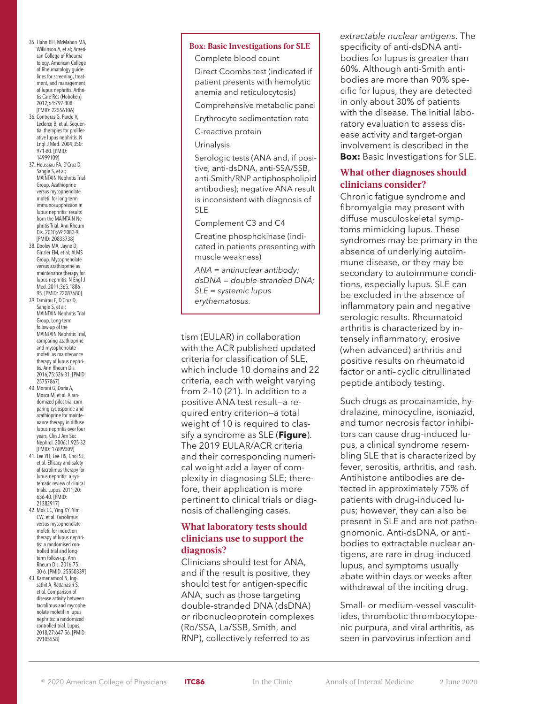35. Hahn BH, McMahon MA, Wilkinson A, et al; American College of Rheumatology. American College of Rheumatology guidelines for screening, treatment, and management of lupus nephritis. Arthritis Care Res (Hoboken). 2012;64:797-808. [PMID: 22556106] 36. Contreras G, Pardo V,

- Leclercq B, et al. Sequential therapies for proliferative lupus nephritis. N Engl J Med. 2004;350: 971-80. [PMID: 14999109]
- 37. Houssiau FA, D'Cruz D, Sangle S, et al; MAINTAIN Nephritis Trial Group. Azathioprine versus mycophenolate mofetil for long-term immunosuppression in lupus nephritis: results from the MAINTAIN Nephritis Trial. Ann Rheum Dis. 2010;69:2083-9. [PMID: 20833738]
- 38. Dooley MA, Jayne D, Ginzler EM, et al; ALMS Group. Mycophenolate versus azathioprine as maintenance therapy for lupus nephritis. N Engl J Med. 2011;365:1886-95. [PMID: 22087680]
- 39. Tamirou F, D'Cruz D, Sangle S, et al; MAINTAIN Nephritis Trial Group. Long-term follow-up of the MAINTAIN Nephritis Trial, comparing azathioprine and mycophenolate mofetil as maintenance therapy of lupus nephritis. Ann Rheum Dis. 2016;75:526-31. [PMID: 25757867]
- 40. Moroni G, Doria A, Mosca M, et al. A randomized pilot trial comparing cyclosporine and azathioprine for maintenance therapy in diffuse lupus nephritis over four years. Clin J Am Soc Nephrol. 2006;1:925-32. [PMID: 17699309]
- 41. Lee YH, Lee HS, Choi SJ, et al. Efficacy and safety of tacrolimus therapy for lupus nephritis: a systematic review of clinical trials. Lupus. 2011;20: 636-40. [PMID: 21382917]
- 42. Mok CC, Ying KY, Yim CW, et al. Tacrolimus versus mycophenolate mofetil for induction therapy of lupus nephritis: a randomised controlled trial and longterm follow-up. Ann Rheum Dis. 2016;75: 30-6. [PMID: 25550339]
- 43. Kamanamool N, Ingsathit A, Rattanasiri S, et al. Comparison of disease activity between tacrolimus and mycophenolate mofetil in lupus nephritis: a randomized controlled trial. Lupus. 2018;27:647-56. [PMID: 29105558]

#### **Box: Basic Investigations for SLE**

Complete blood count

Direct Coombs test (indicated if patient presents with hemolytic anemia and reticulocytosis)

Comprehensive metabolic panel

Erythrocyte sedimentation rate

C-reactive protein

Urinalysis

Serologic tests (ANA and, if positive, anti-dsDNA, anti-SSA/SSB, anti-Smith/RNP antiphospholipid antibodies); negative ANA result is inconsistent with diagnosis of SLE

Complement C3 and C4

Creatine phosphokinase (indicated in patients presenting with muscle weakness)

ANA = antinuclear antibody; dsDNA = double-stranded DNA; SLE = systemic lupus erythematosus.

tism (EULAR) in collaboration with the ACR published updated criteria for classification of SLE, which include 10 domains and 22 criteria, each with weight varying from 2–10 (21). In addition to a positive ANA test result—a required entry criterion—a total weight of 10 is required to classify a syndrome as SLE (**Figure**). The 2019 EULAR/ACR criteria and their corresponding numerical weight add a layer of complexity in diagnosing SLE; therefore, their application is more pertinent to clinical trials or diagnosis of challenging cases.

#### **What laboratory tests should clinicians use to support the diagnosis?**

Clinicians should test for ANA, and if the result is positive, they should test for antigen-specific ANA, such as those targeting double-stranded DNA (dsDNA) or ribonucleoprotein complexes (Ro/SSA, La/SSB, Smith, and RNP), collectively referred to as

extractable nuclear antigens. The specificity of anti-dsDNA antibodies for lupus is greater than 60%. Although anti-Smith antibodies are more than 90% specific for lupus, they are detected in only about 30% of patients with the disease. The initial laboratory evaluation to assess disease activity and target-organ involvement is described in the **Box:** Basic Investigations for SLE.

#### **What other diagnoses should clinicians consider?**

Chronic fatigue syndrome and fibromyalgia may present with diffuse musculoskeletal symptoms mimicking lupus. These syndromes may be primary in the absence of underlying autoimmune disease, or they may be secondary to autoimmune conditions, especially lupus. SLE can be excluded in the absence of inflammatory pain and negative serologic results. Rheumatoid arthritis is characterized by intensely inflammatory, erosive (when advanced) arthritis and positive results on rheumatoid factor or anti– cyclic citrullinated peptide antibody testing.

Such drugs as procainamide, hydralazine, minocycline, isoniazid, and tumor necrosis factor inhibitors can cause drug-induced lupus, a clinical syndrome resembling SLE that is characterized by fever, serositis, arthritis, and rash. Antihistone antibodies are detected in approximately 75% of patients with drug-induced lupus; however, they can also be present in SLE and are not pathognomonic. Anti-dsDNA, or antibodies to extractable nuclear antigens, are rare in drug-induced lupus, and symptoms usually abate within days or weeks after withdrawal of the inciting drug.

Small- or medium-vessel vasculitides, thrombotic thrombocytopenic purpura, and viral arthritis, as seen in parvovirus infection and

<sup>©</sup> 2020 American College of Physicians **ITC86** In the Clinic Annals of Internal Medicine 2 June 2020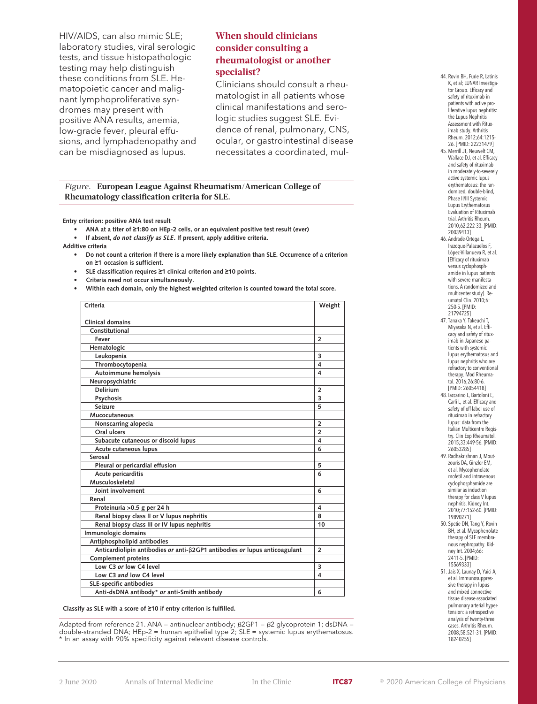HIV/AIDS, can also mimic SLE; laboratory studies, viral serologic tests, and tissue histopathologic testing may help distinguish these conditions from SLE. Hematopoietic cancer and malignant lymphoproliferative syndromes may present with positive ANA results, anemia, low-grade fever, pleural effusions, and lymphadenopathy and can be misdiagnosed as lupus.

#### **When should clinicians consider consulting a rheumatologist or another specialist?**

Clinicians should consult a rheumatologist in all patients whose clinical manifestations and serologic studies suggest SLE. Evidence of renal, pulmonary, CNS, ocular, or gastrointestinal disease necessitates a coordinated, mul-

#### *Figure.* **European League Against Rheumatism/American College of Rheumatology classification criteria for SLE.**

**Entry criterion: positive ANA test result**

- **• ANA at a titer of ≥1:80 on HEp-2 cells, or an equivalent positive test result (ever)**
- **• If absent, do not classify as SLE. If present, apply additive criteria.**
- **Additive criteria**
	- **• Do not count a criterion if there is a more likely explanation than SLE. Occurrence of a criterion on ≥1 occasion is sufficient.**
	- **• SLE classification requires ≥1 clinical criterion and ≥10 points.**
	- **• Criteria need not occur simultaneously.**
	- **• Within each domain, only the highest weighted criterion is counted toward the total score.**

| Criteria                                                                   | Weight         |  |  |
|----------------------------------------------------------------------------|----------------|--|--|
| Clinical domains                                                           |                |  |  |
| Constitutional                                                             |                |  |  |
| Fever                                                                      | 2              |  |  |
| Hematologic                                                                |                |  |  |
| Leukopenia                                                                 | 3              |  |  |
| Thrombocytopenia                                                           | 4              |  |  |
| Autoimmune hemolysis                                                       | 4              |  |  |
|                                                                            |                |  |  |
| Neuropsychiatric<br>Delirium                                               | $\overline{2}$ |  |  |
|                                                                            |                |  |  |
| Psychosis                                                                  | 3              |  |  |
| Seizure                                                                    | 5              |  |  |
| Mucocutaneous                                                              |                |  |  |
| Nonscarring alopecia                                                       | $\overline{2}$ |  |  |
| Oral ulcers                                                                | $\mathfrak{p}$ |  |  |
| Subacute cutaneous or discoid lupus                                        | 4              |  |  |
| Acute cutaneous lupus                                                      | 6              |  |  |
| Serosal                                                                    |                |  |  |
| Pleural or pericardial effusion                                            | 5              |  |  |
| Acute pericarditis                                                         | 6              |  |  |
| Musculoskeletal                                                            |                |  |  |
| Joint involvement                                                          | 6              |  |  |
| Renal                                                                      |                |  |  |
| Proteinuria > 0.5 g per 24 h                                               | 4              |  |  |
| Renal biopsy class II or V lupus nephritis                                 | 8              |  |  |
| Renal biopsy class III or IV lupus nephritis                               | 10             |  |  |
| Immunologic domains                                                        |                |  |  |
| Antiphospholipid antibodies                                                |                |  |  |
| Anticardiolipin antibodies or anti-ß2GP1 antibodies or lupus anticoagulant |                |  |  |
| <b>Complement proteins</b>                                                 |                |  |  |
| Low C3 or low C4 level                                                     | 3              |  |  |
| Low C3 and low C4 level                                                    |                |  |  |
| SLE-specific antibodies                                                    |                |  |  |
| Anti-dsDNA antibody* or anti-Smith antibody                                | 6              |  |  |

**Classify as SLE with a score of ≥10 if entry criterion is fulfilled.**

Adapted from reference 21. ANA = antinuclear antibody;  $\beta$ 2GP1 =  $\beta$ 2 glycoprotein 1; dsDNA = double-stranded DNA; HEp-2 = human epithelial type  $2$ ; SLE = systemic lupus erythematosus. \* In an assay with 90% specificity against relevant disease controls.

the Lupus Nephritis Assessment with Rituximab study. Arthritis Rheum. 2012;64:1215- 26. [PMID: 22231479] 45. Merrill JT, Neuwelt CM, Wallace DJ, et al. Efficacy and safety of rituximab in moderately-to-severely active systemic lupus erythematosus: the randomized, double-blind, Phase II/III Systemic Lupus Erythematosus Evaluation of Rituximab trial. Arthritis Rheum. 2010;62:222-33. [PMID: 20039413] 46. Andrade-Ortega L, Irazoque-Palazuelos F, López-Villanueva R, et al. [Efficacy of rituximab versus cyclophosphamide in lupus patients with severe manifestations. A randomized and multicenter study]. Reumatol Clin. 2010;6: 250-5. [PMID: 21794725] 47. Tanaka Y, Takeuchi T, Miyasaka N, et al. Efficacy and safety of rituximab in Japanese patients with systemic lupus erythematosus and lupus nephritis who are refractory to conventional therapy. Mod Rheumatol. 2016;26:80-6. [PMID: 26054418]

44. Rovin BH, Furie R, Latinis K, et al; LUNAR Investigator Group. Efficacy and safety of rituximab in patients with active proliferative lupus nephritis:

- 48. Iaccarino L, Bartoloni E, Carli L, et al. Efficacy and safety of off-label use of rituximab in refractory lupus: data from the Italian Multicentre Registry. Clin Exp Rheumatol. 2015;33:449-56. [PMID: 26053285]
- 49. Radhakrishnan J, Moutzouris DA, Ginzler EM, et al. Mycophenolate mofetil and intravenous cyclophosphamide are similar as induction therapy for class V lupus nephritis. Kidney Int. 2010;77:152-60. [PMID: 19890271]
- 50. Spetie DN, Tang Y, Rovin BH, et al. Mycophenolate therapy of SLE membranous nephropathy. Kidney Int. 2004;66: 2411-5. [PMID: 15569333]
- 51. Jais X, Launay D, Yaici A, et al. Immunosuppressive therapy in lupusand mixed connective tissue disease-associated pulmonary arterial hypertension: a retrospective analysis of twenty-three cases. Arthritis Rheum. 2008;58:521-31. [PMID: 18240255]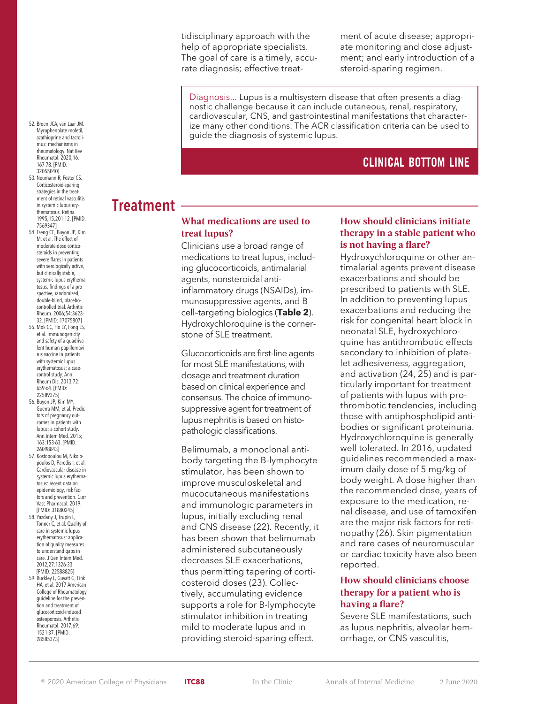tidisciplinary approach with the help of appropriate specialists. The goal of care is a timely, accurate diagnosis; effective treatment of acute disease; appropriate monitoring and dose adjustment; and early introduction of a steroid-sparing regimen.

Diagnosis... Lupus is a multisystem disease that often presents a diagnostic challenge because it can include cutaneous, renal, respiratory, cardiovascular, CNS, and gastrointestinal manifestations that characterize many other conditions. The ACR classification criteria can be used to guide the diagnosis of systemic lupus.

## **CLINICAL BOTTOM LINE**

# Treatment -

#### **What medications are used to treat lupus?**

Clinicians use a broad range of medications to treat lupus, including glucocorticoids, antimalarial agents, nonsteroidal antiinflammatory drugs (NSAIDs), immunosuppressive agents, and B cell–targeting biologics (**Table 2**). Hydroxychloroquine is the cornerstone of SLE treatment.

Glucocorticoids are first-line agents for most SLE manifestations, with dosage and treatment duration based on clinical experience and consensus. The choice of immunosuppressive agent for treatment of lupus nephritis is based on histopathologic classifications.

Belimumab, a monoclonal antibody targeting the B-lymphocyte stimulator, has been shown to improve musculoskeletal and mucocutaneous manifestations and immunologic parameters in lupus, initially excluding renal and CNS disease (22). Recently, it has been shown that belimumab administered subcutaneously decreases SLE exacerbations, thus permitting tapering of corticosteroid doses (23). Collectively, accumulating evidence supports a role for B-lymphocyte stimulator inhibition in treating mild to moderate lupus and in providing steroid-sparing effect.

#### **How should clinicians initiate therapy in a stable patient who is not having a flare?**

Hydroxychloroquine or other antimalarial agents prevent disease exacerbations and should be prescribed to patients with SLE. In addition to preventing lupus exacerbations and reducing the risk for congenital heart block in neonatal SLE, hydroxychloroquine has antithrombotic effects secondary to inhibition of platelet adhesiveness, aggregation, and activation (24, 25) and is particularly important for treatment of patients with lupus with prothrombotic tendencies, including those with antiphospholipid antibodies or significant proteinuria. Hydroxychloroquine is generally well tolerated. In 2016, updated guidelines recommended a maximum daily dose of 5 mg/kg of body weight. A dose higher than the recommended dose, years of exposure to the medication, renal disease, and use of tamoxifen are the major risk factors for retinopathy (26). Skin pigmentation and rare cases of neuromuscular or cardiac toxicity have also been reported.

#### **How should clinicians choose therapy for a patient who is having a flare?**

Severe SLE manifestations, such as lupus nephritis, alveolar hemorrhage, or CNS vasculitis,

- 52. Broen JCA, van Laar JM. Mycophenolate mofetil, azathioprine and tacrolimus: mechanisms in rheumatology. Nat Rev Rheumatol. 2020;16: 167-78. [PMID: 32055040]
- 53. Neumann R, Foster CS. Corticosteroid-sparing strategies in the treatment of retinal vasculitis in systemic lupus erythematosus. Retina. 1995;15:201-12. [PMID: 7569347]
- 54. Tseng CE, Buyon JP, Kim M, et al. The effect of moderate-dose corticosteroids in preventing severe flares in patients with serologically active, but clinically stable, systemic lupus erythematosus: findings of a prospective, randomized, double-blind, placebocontrolled trial. Arthritis Rheum. 2006;54:3623- 32. [PMID: 17075807]
- 55. Mok CC, Ho LY, Fong LS, et al. Immunogenicity and safety of a quadrivalent human papillomavirus vaccine in patients with systemic lupus erythematosus: a casecontrol study. Ann Rheum Dis. 2013;72: 659-64. [PMID: 22589375]
- 56. Buyon JP, Kim MY, Guerra MM, et al. Predictors of pregnancy outcomes in patients with lupus: a cohort study. Ann Intern Med. 2015; 163:153-63. [PMID: 26098843]
- 57. Kostopoulou M, Nikolopoulos D, Parodis I, et al. Cardiovascular disease in systemic lupus erythematosus: recent data on epidemiology, risk factors and prevention. Curr Vasc Pharmacol. 2019. [PMID: 31880245]
- 58. Yazdany J, Trupin L, Tonner C, et al. Quality of care in systemic lupus erythematosus: application of quality measures to understand gaps in care. J Gen Intern Med. 2012;27:1326-33. [PMID: 22588825]
- 59. Buckley L, Guyatt G, Fink HA, et al. 2017 American College of Rheumatology guideline for the prevention and treatment of glucocorticoid-induced osteoporosis. Arthritis Rheumatol. 2017;69: 1521-37. [PMID: 28585373]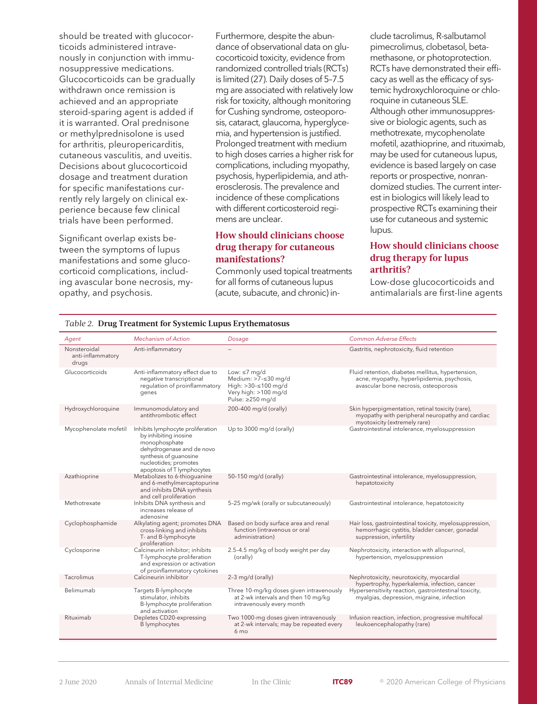should be treated with glucocorticoids administered intravenously in conjunction with immunosuppressive medications. Glucocorticoids can be gradually withdrawn once remission is achieved and an appropriate steroid-sparing agent is added if it is warranted. Oral prednisone or methylprednisolone is used for arthritis, pleuropericarditis, cutaneous vasculitis, and uveitis. Decisions about glucocorticoid dosage and treatment duration for specific manifestations currently rely largely on clinical experience because few clinical trials have been performed.

Significant overlap exists between the symptoms of lupus manifestations and some glucocorticoid complications, including avascular bone necrosis, myopathy, and psychosis.

Furthermore, despite the abundance of observational data on glucocorticoid toxicity, evidence from randomized controlled trials (RCTs) is limited (27). Daily doses of 5–7.5 mg are associated with relatively low risk for toxicity, although monitoring for Cushing syndrome, osteoporosis, cataract, glaucoma, hyperglycemia, and hypertension is justified. Prolonged treatment with medium to high doses carries a higher risk for complications, including myopathy, psychosis, hyperlipidemia, and atherosclerosis. The prevalence and incidence of these complications with different corticosteroid regimens are unclear.

#### **How should clinicians choose drug therapy for cutaneous manifestations?**

Commonly used topical treatments for all forms of cutaneous lupus (acute, subacute, and chronic) include tacrolimus, R-salbutamol pimecrolimus, clobetasol, betamethasone, or photoprotection. RCTs have demonstrated their efficacy as well as the efficacy of systemic hydroxychloroquine or chloroquine in cutaneous SLE. Although other immunosuppressive or biologic agents, such as methotrexate, mycophenolate mofetil, azathioprine, and rituximab, may be used for cutaneous lupus, evidence is based largely on case reports or prospective, nonrandomized studies. The current interest in biologics will likely lead to prospective RCTs examining their use for cutaneous and systemic lupus.

#### **How should clinicians choose drug therapy for lupus arthritis?**

Low-dose glucocorticoids and antimalarials are first-line agents

| Agent                                      | Mechanism of Action                                                                                                                                                                       | Dosage                                                                                                       | <b>Common Adverse Effects</b>                                                                                                            |
|--------------------------------------------|-------------------------------------------------------------------------------------------------------------------------------------------------------------------------------------------|--------------------------------------------------------------------------------------------------------------|------------------------------------------------------------------------------------------------------------------------------------------|
| Nonsteroidal<br>anti-inflammatory<br>drugs | Anti-inflammatory                                                                                                                                                                         |                                                                                                              | Gastritis, nephrotoxicity, fluid retention                                                                                               |
| Glucocorticoids                            | Anti-inflammatory effect due to<br>negative transcriptional<br>regulation of proinflammatory<br>genes                                                                                     | Low: $\leq 7$ mg/d<br>Medium: >7-≤30 mg/d<br>High: >30-≤100 mg/d<br>Very high: >100 mg/d<br>Pulse: ≥250 mg/d | Fluid retention, diabetes mellitus, hypertension,<br>acne, myopathy, hyperlipidemia, psychosis,<br>avascular bone necrosis, osteoporosis |
| Hydroxychloroquine                         | Immunomodulatory and<br>antithrombotic effect                                                                                                                                             | 200-400 mg/d (orally)                                                                                        | Skin hyperpigmentation, retinal toxicity (rare),<br>myopathy with peripheral neuropathy and cardiac<br>myotoxicity (extremely rare)      |
| Mycophenolate mofetil                      | Inhibits lymphocyte proliferation<br>by inhibiting inosine<br>monophosphate<br>dehydrogenase and de novo<br>synthesis of guanosine<br>nucleotides; promotes<br>apoptosis of T lymphocytes | Up to 3000 mg/d (orally)                                                                                     | Gastrointestinal intolerance, myelosuppression                                                                                           |
| Azathioprine                               | Metabolizes to 6-thioquanine<br>and 6-methylmercaptopurine<br>and inhibits DNA synthesis<br>and cell proliferation                                                                        | 50-150 mg/d (orally)                                                                                         | Gastrointestinal intolerance, myelosuppression,<br>hepatotoxicity                                                                        |
| Methotrexate                               | Inhibits DNA synthesis and<br>increases release of<br>adenosine                                                                                                                           | 5-25 mg/wk (orally or subcutaneously)                                                                        | Gastrointestinal intolerance, hepatotoxicity                                                                                             |
| Cyclophosphamide                           | Alkylating agent; promotes DNA<br>cross-linking and inhibits<br>T- and B-lymphocyte<br>proliferation                                                                                      | Based on body surface area and renal<br>function (intravenous or oral<br>administration)                     | Hair loss, gastrointestinal toxicity, myelosuppression,<br>hemorrhagic cystitis, bladder cancer, gonadal<br>suppression, infertility     |
| Cyclosporine                               | Calcineurin inhibitor; inhibits<br>T-lymphocyte proliferation<br>and expression or activation<br>of proinflammatory cytokines                                                             | 2.5-4.5 mg/kg of body weight per day<br>(orally)                                                             | Nephrotoxicity, interaction with allopurinol,<br>hypertension, myelosuppression                                                          |
| Tacrolimus                                 | Calcineurin inhibitor                                                                                                                                                                     | 2-3 mg/d (orally)                                                                                            | Nephrotoxicity, neurotoxicity, myocardial<br>hypertrophy, hyperkalemia, infection, cancer                                                |
| Belimumab                                  | Targets B-lymphocyte<br>stimulator, inhibits<br>B-lymphocyte proliferation<br>and activation                                                                                              | Three 10-mg/kg doses given intravenously<br>at 2-wk intervals and then 10 mg/kg<br>intravenously every month | Hypersensitivity reaction, gastrointestinal toxicity,<br>myalgias, depression, migraine, infection                                       |
| Rituximab                                  | Depletes CD20-expressing<br><b>B</b> lymphocytes                                                                                                                                          | Two 1000-mg doses given intravenously<br>at 2-wk intervals; may be repeated every<br>6 mo                    | Infusion reaction, infection, progressive multifocal<br>leukoencephalopathy (rare)                                                       |

#### *Table 2.* **Drug Treatment for Systemic Lupus Erythematosus**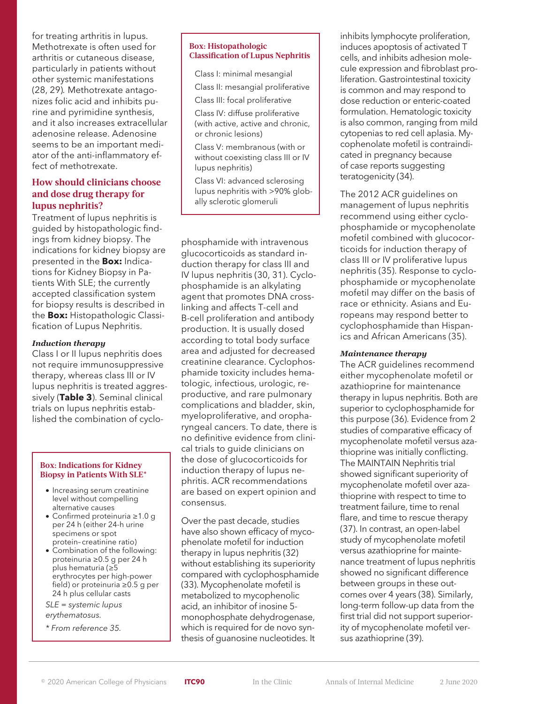for treating arthritis in lupus. Methotrexate is often used for arthritis or cutaneous disease, particularly in patients without other systemic manifestations (28, 29). Methotrexate antagonizes folic acid and inhibits purine and pyrimidine synthesis, and it also increases extracellular adenosine release. Adenosine seems to be an important mediator of the anti-inflammatory effect of methotrexate.

#### **How should clinicians choose and dose drug therapy for lupus nephritis?**

Treatment of lupus nephritis is guided by histopathologic findings from kidney biopsy. The indications for kidney biopsy are presented in the **Box:** Indications for Kidney Biopsy in Patients With SLE; the currently accepted classification system for biopsy results is described in the **Box:** Histopathologic Classification of Lupus Nephritis.

#### *Induction therapy*

Class I or II lupus nephritis does not require immunosuppressive therapy, whereas class III or IV lupus nephritis is treated aggressively (**Table 3**). Seminal clinical trials on lupus nephritis established the combination of cyclo-

#### **Box: Indications for Kidney Biopsy in Patients With SLE\***

- Increasing serum creatinine level without compelling alternative causes
- Confirmed proteinuria ≥1.0 g per 24 h (either 24-h urine specimens or spot protein– creatinine ratio)
- Combination of the following: proteinuria ≥0.5 g per 24 h plus hematuria (≥5 erythrocytes per high-power field) or proteinuria ≥0.5 g per 24 h plus cellular casts

SLE = systemic lupus erythematosus.

\* From reference 35.

#### **Box: Histopathologic Classification of Lupus Nephritis**

Class I: minimal mesangial

Class II: mesangial proliferative

Class III: focal proliferative

Class IV: diffuse proliferative (with active, active and chronic, or chronic lesions)

Class V: membranous (with or without coexisting class III or IV lupus nephritis)

Class VI: advanced sclerosing lupus nephritis with >90% globally sclerotic glomeruli

phosphamide with intravenous glucocorticoids as standard induction therapy for class III and IV lupus nephritis (30, 31). Cyclophosphamide is an alkylating agent that promotes DNA crosslinking and affects T-cell and B-cell proliferation and antibody production. It is usually dosed according to total body surface area and adjusted for decreased creatinine clearance. Cyclophosphamide toxicity includes hematologic, infectious, urologic, reproductive, and rare pulmonary complications and bladder, skin, myeloproliferative, and oropharyngeal cancers. To date, there is no definitive evidence from clinical trials to guide clinicians on the dose of glucocorticoids for induction therapy of lupus nephritis. ACR recommendations are based on expert opinion and consensus.

Over the past decade, studies have also shown efficacy of mycophenolate mofetil for induction therapy in lupus nephritis (32) without establishing its superiority compared with cyclophosphamide (33). Mycophenolate mofetil is metabolized to mycophenolic acid, an inhibitor of inosine 5 monophosphate dehydrogenase, which is required for de novo synthesis of guanosine nucleotides. It

inhibits lymphocyte proliferation, induces apoptosis of activated T cells, and inhibits adhesion molecule expression and fibroblast proliferation. Gastrointestinal toxicity is common and may respond to dose reduction or enteric-coated formulation. Hematologic toxicity is also common, ranging from mild cytopenias to red cell aplasia. Mycophenolate mofetil is contraindicated in pregnancy because of case reports suggesting teratogenicity (34).

The 2012 ACR guidelines on management of lupus nephritis recommend using either cyclophosphamide or mycophenolate mofetil combined with glucocorticoids for induction therapy of class III or IV proliferative lupus nephritis (35). Response to cyclophosphamide or mycophenolate mofetil may differ on the basis of race or ethnicity. Asians and Europeans may respond better to cyclophosphamide than Hispanics and African Americans (35).

#### *Maintenance therapy*

The ACR guidelines recommend either mycophenolate mofetil or azathioprine for maintenance therapy in lupus nephritis. Both are superior to cyclophosphamide for this purpose (36). Evidence from 2 studies of comparative efficacy of mycophenolate mofetil versus azathioprine was initially conflicting. The MAINTAIN Nephritis trial showed significant superiority of mycophenolate mofetil over azathioprine with respect to time to treatment failure, time to renal flare, and time to rescue therapy (37). In contrast, an open-label study of mycophenolate mofetil versus azathioprine for maintenance treatment of lupus nephritis showed no significant difference between groups in these outcomes over 4 years (38). Similarly, long-term follow-up data from the first trial did not support superiority of mycophenolate mofetil versus azathioprine (39).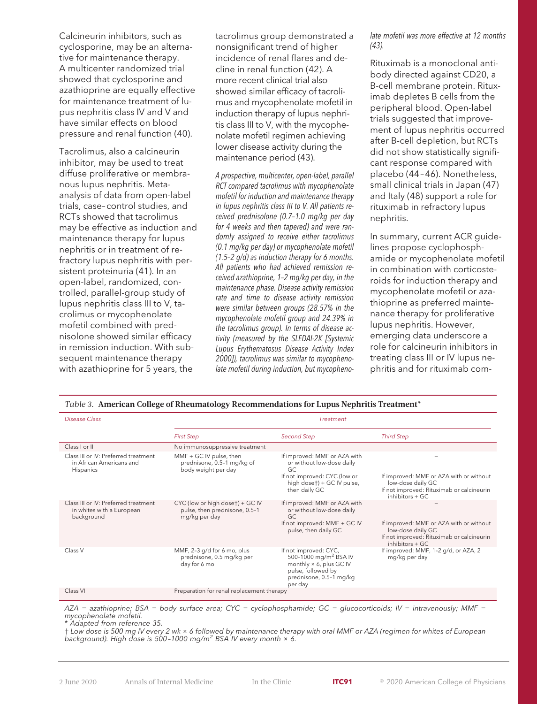Calcineurin inhibitors, such as cyclosporine, may be an alternative for maintenance therapy. A multicenter randomized trial showed that cyclosporine and azathioprine are equally effective for maintenance treatment of lupus nephritis class IV and V and have similar effects on blood pressure and renal function (40).

Tacrolimus, also a calcineurin inhibitor, may be used to treat diffuse proliferative or membranous lupus nephritis. Metaanalysis of data from open-label trials, case– control studies, and RCTs showed that tacrolimus may be effective as induction and maintenance therapy for lupus nephritis or in treatment of refractory lupus nephritis with persistent proteinuria (41). In an open-label, randomized, controlled, parallel-group study of lupus nephritis class III to V, tacrolimus or mycophenolate mofetil combined with prednisolone showed similar efficacy in remission induction. With subsequent maintenance therapy with azathioprine for 5 years, the

tacrolimus group demonstrated a nonsignificant trend of higher incidence of renal flares and decline in renal function (42). A more recent clinical trial also showed similar efficacy of tacrolimus and mycophenolate mofetil in induction therapy of lupus nephritis class III to V, with the mycophenolate mofetil regimen achieving lower disease activity during the maintenance period (43).

A prospective, multicenter, open-label, parallel RCT compared tacrolimus with mycophenolate mofetil for induction and maintenance therapy in lupus nephritis class III to V. All patients received prednisolone (0.7–1.0 mg/kg per day for 4 weeks and then tapered) and were randomly assigned to receive either tacrolimus (0.1 mg/kg per day) or mycophenolate mofetil  $(1.5-2 \frac{q}{d})$  as induction therapy for 6 months. All patients who had achieved remission received azathioprine, 1–2 mg/kg per day, in the maintenance phase. Disease activity remission rate and time to disease activity remission were similar between groups (28.57% in the mycophenolate mofetil group and 24.39% in the tacrolimus group). In terms of disease activity (measured by the SLEDAI-2K [Systemic Lupus Erythematosus Disease Activity Index 2000]), tacrolimus was similar to mycophenolate mofetil during induction, but mycopheno-

late mofetil was more effective at 12 months (43).

Rituximab is a monoclonal antibody directed against CD20, a B-cell membrane protein. Rituximab depletes B cells from the peripheral blood. Open-label trials suggested that improvement of lupus nephritis occurred after B-cell depletion, but RCTs did not show statistically significant response compared with placebo (44 – 46). Nonetheless, small clinical trials in Japan (47) and Italy (48) support a role for rituximab in refractory lupus nephritis.

In summary, current ACR guidelines propose cyclophosphamide or mycophenolate mofetil in combination with corticosteroids for induction therapy and mycophenolate mofetil or azathioprine as preferred maintenance therapy for proliferative lupus nephritis. However, emerging data underscore a role for calcineurin inhibitors in treating class III or IV lupus nephritis and for rituximab com-

|  | Table 3. American College of Rheumatology Recommendations for Lupus Nephritis Treatment* |
|--|------------------------------------------------------------------------------------------|
|  |                                                                                          |

| Disease Class                                                                        | <b>Treatment</b>                                                                  |                                                                                                                                                   |                                                                                                                                |  |
|--------------------------------------------------------------------------------------|-----------------------------------------------------------------------------------|---------------------------------------------------------------------------------------------------------------------------------------------------|--------------------------------------------------------------------------------------------------------------------------------|--|
|                                                                                      | <b>First Step</b>                                                                 | Second Step                                                                                                                                       | <b>Third Step</b>                                                                                                              |  |
| Class I or II                                                                        | No immunosuppressive treatment                                                    |                                                                                                                                                   |                                                                                                                                |  |
| Class III or IV: Preferred treatment<br>in African Americans and<br><b>Hispanics</b> | MMF + GC IV pulse, then<br>prednisone, 0.5-1 mg/kg of<br>body weight per day      | If improved: MMF or AZA with<br>or without low-dose daily<br>GC.<br>If not improved: CYC (low or<br>high dose†) + GC IV pulse,<br>then daily GC   | If improved: MMF or AZA with or without<br>low-dose daily GC<br>If not improved: Rituximab or calcineurin<br>inhibitors + GC   |  |
| Class III or IV: Preferred treatment<br>in whites with a European<br>background      | CYC (low or high dose†) + GC IV<br>pulse, then prednisone, 0.5-1<br>mg/kg per day | If improved: MMF or AZA with<br>or without low-dose daily<br>GC.<br>If not improved: MMF + GC IV<br>pulse, then daily GC                          | If improved: MMF or AZA with or without<br>low-dose daily GC<br>If not improved: Rituximab or calcineurin<br>inhibitors $+$ GC |  |
| Class V                                                                              | MMF, 2-3 g/d for 6 mo, plus<br>prednisone, 0.5 mg/kg per<br>day for 6 mo          | If not improved: CYC,<br>500-1000 mg/m <sup>2</sup> BSA IV<br>monthly × 6, plus GC IV<br>pulse, followed by<br>prednisone, 0.5-1 mg/kg<br>per day | If improved: MMF, 1-2 g/d, or AZA, 2<br>mg/kg per day                                                                          |  |
| Class VI                                                                             | Preparation for renal replacement therapy                                         |                                                                                                                                                   |                                                                                                                                |  |

 $AZA =$  azathioprine; BSA = body surface area; CYC = cyclophosphamide; GC = glucocorticoids; IV = intravenously; MMF = mycophenolate mofetil.

\* Adapted from reference 35.

† Low dose is 500 mg IV every 2 wk × 6 followed by maintenance therapy with oral MMF or AZA (regimen for whites of European background). High dose is  $500 - 1000$  mg/m<sup>2</sup> BSA IV every month  $\times$  6.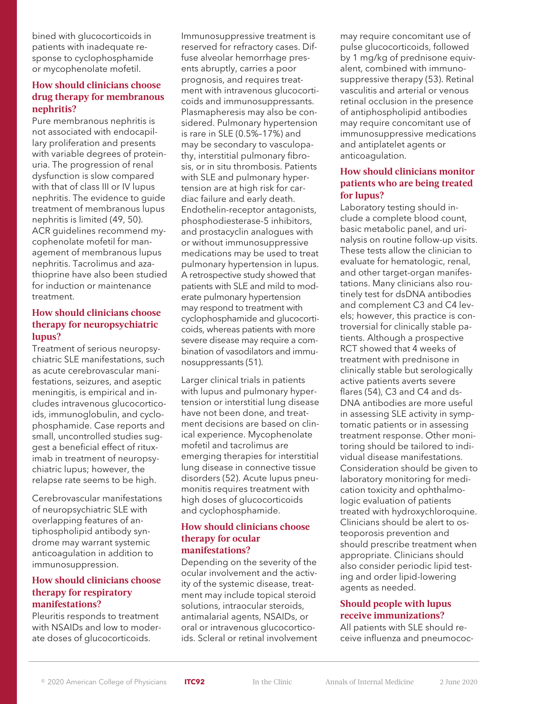bined with glucocorticoids in patients with inadequate response to cyclophosphamide or mycophenolate mofetil.

#### **How should clinicians choose drug therapy for membranous nephritis?**

Pure membranous nephritis is not associated with endocapillary proliferation and presents with variable degrees of proteinuria. The progression of renal dysfunction is slow compared with that of class III or IV lupus nephritis. The evidence to guide treatment of membranous lupus nephritis is limited (49, 50). ACR guidelines recommend mycophenolate mofetil for management of membranous lupus nephritis. Tacrolimus and azathioprine have also been studied for induction or maintenance treatment.

#### **How should clinicians choose therapy for neuropsychiatric lupus?**

Treatment of serious neuropsychiatric SLE manifestations, such as acute cerebrovascular manifestations, seizures, and aseptic meningitis, is empirical and includes intravenous glucocorticoids, immunoglobulin, and cyclophosphamide. Case reports and small, uncontrolled studies suggest a beneficial effect of rituximab in treatment of neuropsychiatric lupus; however, the relapse rate seems to be high.

Cerebrovascular manifestations of neuropsychiatric SLE with overlapping features of antiphospholipid antibody syndrome may warrant systemic anticoagulation in addition to immunosuppression.

#### **How should clinicians choose therapy for respiratory manifestations?**

Pleuritis responds to treatment with NSAIDs and low to moderate doses of glucocorticoids.

Immunosuppressive treatment is reserved for refractory cases. Diffuse alveolar hemorrhage presents abruptly, carries a poor prognosis, and requires treatment with intravenous glucocorticoids and immunosuppressants. Plasmapheresis may also be considered. Pulmonary hypertension is rare in SLE (0.5%–17%) and may be secondary to vasculopathy, interstitial pulmonary fibrosis, or in situ thrombosis. Patients with SLE and pulmonary hypertension are at high risk for cardiac failure and early death. Endothelin-receptor antagonists, phosphodiesterase-5 inhibitors, and prostacyclin analogues with or without immunosuppressive medications may be used to treat pulmonary hypertension in lupus. A retrospective study showed that patients with SLE and mild to moderate pulmonary hypertension may respond to treatment with cyclophosphamide and glucocorticoids, whereas patients with more severe disease may require a combination of vasodilators and immunosuppressants (51).

Larger clinical trials in patients with lupus and pulmonary hypertension or interstitial lung disease have not been done, and treatment decisions are based on clinical experience. Mycophenolate mofetil and tacrolimus are emerging therapies for interstitial lung disease in connective tissue disorders (52). Acute lupus pneumonitis requires treatment with high doses of glucocorticoids and cyclophosphamide.

#### **How should clinicians choose therapy for ocular manifestations?**

Depending on the severity of the ocular involvement and the activity of the systemic disease, treatment may include topical steroid solutions, intraocular steroids, antimalarial agents, NSAIDs, or oral or intravenous glucocorticoids. Scleral or retinal involvement may require concomitant use of pulse glucocorticoids, followed by 1 mg/kg of prednisone equivalent, combined with immunosuppressive therapy (53). Retinal vasculitis and arterial or venous retinal occlusion in the presence of antiphospholipid antibodies may require concomitant use of immunosuppressive medications and antiplatelet agents or anticoagulation.

#### **How should clinicians monitor patients who are being treated for lupus?**

Laboratory testing should include a complete blood count, basic metabolic panel, and urinalysis on routine follow-up visits. These tests allow the clinician to evaluate for hematologic, renal, and other target-organ manifestations. Many clinicians also routinely test for dsDNA antibodies and complement C3 and C4 levels; however, this practice is controversial for clinically stable patients. Although a prospective RCT showed that 4 weeks of treatment with prednisone in clinically stable but serologically active patients averts severe flares (54), C3 and C4 and ds-DNA antibodies are more useful in assessing SLE activity in symptomatic patients or in assessing treatment response. Other monitoring should be tailored to individual disease manifestations. Consideration should be given to laboratory monitoring for medication toxicity and ophthalmologic evaluation of patients treated with hydroxychloroquine. Clinicians should be alert to osteoporosis prevention and should prescribe treatment when appropriate. Clinicians should also consider periodic lipid testing and order lipid-lowering agents as needed.

#### **Should people with lupus receive immunizations?**

All patients with SLE should receive influenza and pneumococ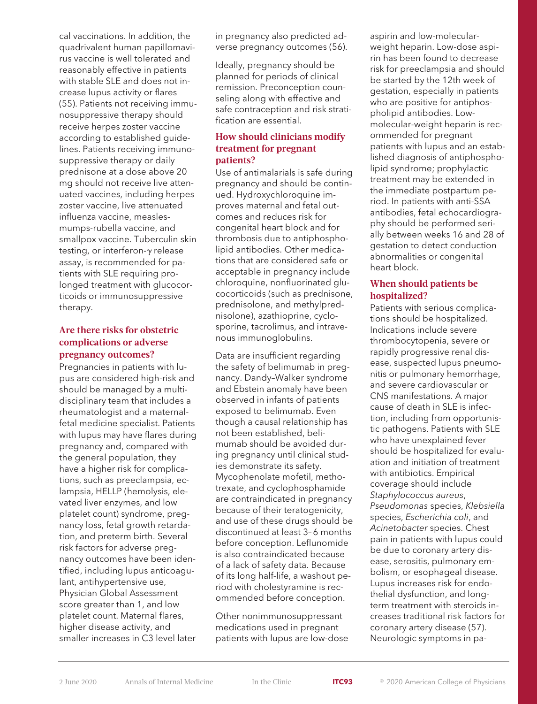cal vaccinations. In addition, the quadrivalent human papillomavirus vaccine is well tolerated and reasonably effective in patients with stable SLE and does not increase lupus activity or flares (55). Patients not receiving immunosuppressive therapy should receive herpes zoster vaccine according to established guidelines. Patients receiving immunosuppressive therapy or daily prednisone at a dose above 20 mg should not receive live attenuated vaccines, including herpes zoster vaccine, live attenuated influenza vaccine, measlesmumps-rubella vaccine, and smallpox vaccine. Tuberculin skin testing, or interferon- $\gamma$  release assay, is recommended for patients with SLE requiring prolonged treatment with glucocorticoids or immunosuppressive therapy.

#### **Are there risks for obstetric complications or adverse pregnancy outcomes?**

Pregnancies in patients with lupus are considered high-risk and should be managed by a multidisciplinary team that includes a rheumatologist and a maternalfetal medicine specialist. Patients with lupus may have flares during pregnancy and, compared with the general population, they have a higher risk for complications, such as preeclampsia, eclampsia, HELLP (hemolysis, elevated liver enzymes, and low platelet count) syndrome, pregnancy loss, fetal growth retardation, and preterm birth. Several risk factors for adverse pregnancy outcomes have been identified, including lupus anticoagulant, antihypertensive use, Physician Global Assessment score greater than 1, and low platelet count. Maternal flares, higher disease activity, and smaller increases in C3 level later

in pregnancy also predicted adverse pregnancy outcomes (56).

Ideally, pregnancy should be planned for periods of clinical remission. Preconception counseling along with effective and safe contraception and risk stratification are essential.

#### **How should clinicians modify treatment for pregnant patients?**

Use of antimalarials is safe during pregnancy and should be continued. Hydroxychloroquine improves maternal and fetal outcomes and reduces risk for congenital heart block and for thrombosis due to antiphospholipid antibodies. Other medications that are considered safe or acceptable in pregnancy include chloroquine, nonfluorinated glucocorticoids (such as prednisone, prednisolone, and methylprednisolone), azathioprine, cyclosporine, tacrolimus, and intravenous immunoglobulins.

Data are insufficient regarding the safety of belimumab in pregnancy. Dandy–Walker syndrome and Ebstein anomaly have been observed in infants of patients exposed to belimumab. Even though a causal relationship has not been established, belimumab should be avoided during pregnancy until clinical studies demonstrate its safety. Mycophenolate mofetil, methotrexate, and cyclophosphamide are contraindicated in pregnancy because of their teratogenicity, and use of these drugs should be discontinued at least 3– 6 months before conception. Leflunomide is also contraindicated because of a lack of safety data. Because of its long half-life, a washout period with cholestyramine is recommended before conception.

Other nonimmunosuppressant medications used in pregnant patients with lupus are low-dose aspirin and low-molecularweight heparin. Low-dose aspirin has been found to decrease risk for preeclampsia and should be started by the 12th week of gestation, especially in patients who are positive for antiphospholipid antibodies. Lowmolecular-weight heparin is recommended for pregnant patients with lupus and an established diagnosis of antiphospholipid syndrome; prophylactic treatment may be extended in the immediate postpartum period. In patients with anti-SSA antibodies, fetal echocardiography should be performed serially between weeks 16 and 28 of gestation to detect conduction abnormalities or congenital heart block.

#### **When should patients be hospitalized?**

Patients with serious complications should be hospitalized. Indications include severe thrombocytopenia, severe or rapidly progressive renal disease, suspected lupus pneumonitis or pulmonary hemorrhage, and severe cardiovascular or CNS manifestations. A major cause of death in SLE is infection, including from opportunistic pathogens. Patients with SLE who have unexplained fever should be hospitalized for evaluation and initiation of treatment with antibiotics. Empirical coverage should include Staphylococcus aureus, Pseudomonas species, Klebsiella species, Escherichia coli, and Acinetobacter species. Chest pain in patients with lupus could be due to coronary artery disease, serositis, pulmonary embolism, or esophageal disease. Lupus increases risk for endothelial dysfunction, and longterm treatment with steroids increases traditional risk factors for coronary artery disease (57). Neurologic symptoms in pa-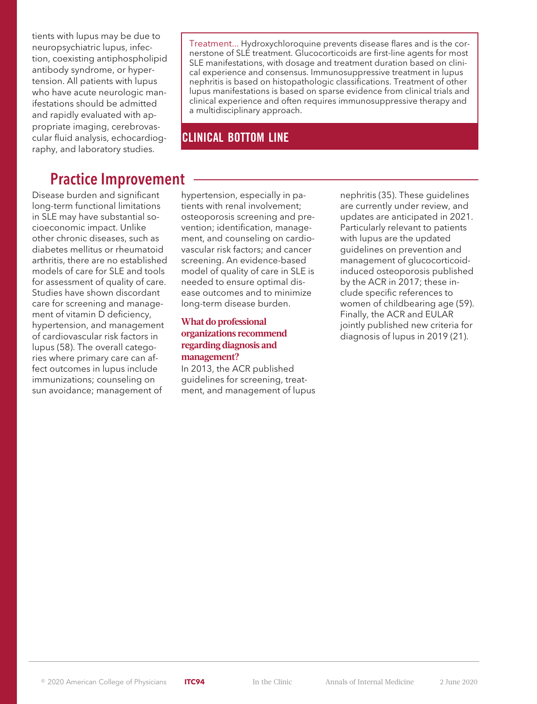tients with lupus may be due to neuropsychiatric lupus, infection, coexisting antiphospholipid antibody syndrome, or hypertension. All patients with lupus who have acute neurologic manifestations should be admitted and rapidly evaluated with appropriate imaging, cerebrovascular fluid analysis, echocardiography, and laboratory studies.

# Practice Improvement

Disease burden and significant long-term functional limitations in SLE may have substantial socioeconomic impact. Unlike other chronic diseases, such as diabetes mellitus or rheumatoid arthritis, there are no established models of care for SLE and tools for assessment of quality of care. Studies have shown discordant care for screening and management of vitamin D deficiency, hypertension, and management of cardiovascular risk factors in lupus (58). The overall categories where primary care can affect outcomes in lupus include immunizations; counseling on sun avoidance; management of

Treatment... Hydroxychloroquine prevents disease flares and is the cornerstone of SLE treatment. Glucocorticoids are first-line agents for most SLE manifestations, with dosage and treatment duration based on clinical experience and consensus. Immunosuppressive treatment in lupus nephritis is based on histopathologic classifications. Treatment of other lupus manifestations is based on sparse evidence from clinical trials and clinical experience and often requires immunosuppressive therapy and a multidisciplinary approach.

# **CLINICAL BOTTOM LINE**

hypertension, especially in patients with renal involvement; osteoporosis screening and prevention; identification, management, and counseling on cardiovascular risk factors; and cancer screening. An evidence-based model of quality of care in SLE is needed to ensure optimal disease outcomes and to minimize long-term disease burden.

#### **What do professional organizations recommend regarding diagnosis and management?**

In 2013, the ACR published guidelines for screening, treatment, and management of lupus nephritis (35). These guidelines are currently under review, and updates are anticipated in 2021. Particularly relevant to patients with lupus are the updated guidelines on prevention and management of glucocorticoidinduced osteoporosis published by the ACR in 2017; these include specific references to women of childbearing age (59). Finally, the ACR and EULAR jointly published new criteria for diagnosis of lupus in 2019 (21).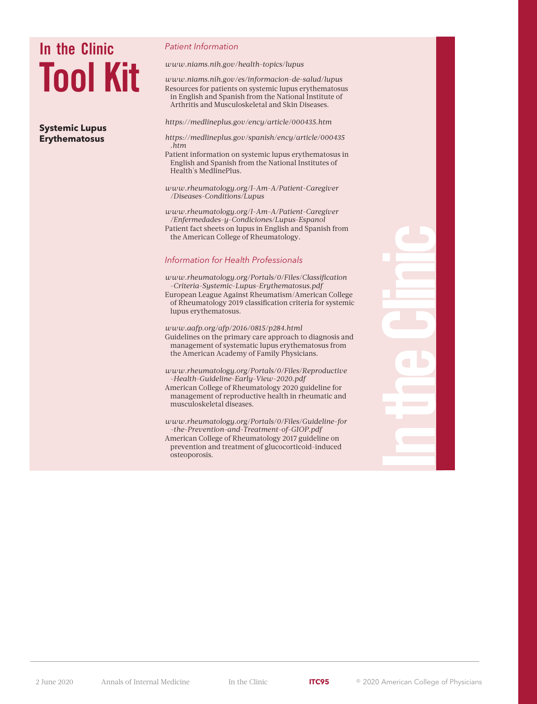# **In the Clinic Tool Kit**

**Systemic Lupus Erythematosus**

#### Patient Information

*[www.niams.nih.gov/health-topics/lupus](http://www.niams.nih.gov/health-topics/lupus)*

*[www.niams.nih.gov/es/informacion-de-salud/lupus](http://www.niams.nih.gov/es/informacion-de-salud/lupus)* Resources for patients on systemic lupus erythematosus in English and Spanish from the National Institute of Arthritis and Musculoskeletal and Skin Diseases.

*<https://medlineplus.gov/ency/article/000435.htm>*

*[https://medlineplus.gov/spanish/ency/article/000435](https://medlineplus.gov/spanish/ency/article/000435.htm) [.htm](https://medlineplus.gov/spanish/ency/article/000435.htm)*

Patient information on systemic lupus erythematosus in English and Spanish from the National Institutes of Health's MedlinePlus.

*[www.rheumatology.org/I-Am-A/Patient-Caregiver](http://www.rheumatology.org/I-Am-A/Patient-Caregiver/Diseases-Conditions/Lupus) [/Diseases-Conditions/Lupus](http://www.rheumatology.org/I-Am-A/Patient-Caregiver/Diseases-Conditions/Lupus)*

*[www.rheumatology.org/I-Am-A/Patient-Caregiver](http://www.rheumatology.org/I-Am-A/Patient-Caregiver/Enfermedades-y-Condiciones/Lupus-Espanol) [/Enfermedades-y-Condiciones/Lupus-Espanol](http://www.rheumatology.org/I-Am-A/Patient-Caregiver/Enfermedades-y-Condiciones/Lupus-Espanol)* Patient fact sheets on lupus in English and Spanish from the American College of Rheumatology.

#### Information for Health Professionals

*[www.rheumatology.org/Portals/0/Files/Classification](http://www.rheumatology.org/Portals/0/Files/Classification-Criteria-Systemic-Lupus-Erythematosus.pdf) [-Criteria-Systemic-Lupus-Erythematosus.pdf](http://www.rheumatology.org/Portals/0/Files/Classification-Criteria-Systemic-Lupus-Erythematosus.pdf)*

European League Against Rheumatism/American College of Rheumatology 2019 classification criteria for systemic lupus erythematosus.

*[www.aafp.org/afp/2016/0815/p284.html](http://www.aafp.org/afp/2016/0815/p284.html)* Guidelines on the primary care approach to diagnosis and management of systematic lupus erythematosus from the American Academy of Family Physicians.

- *[www.rheumatology.org/Portals/0/Files/Reproductive](http://www.rheumatology.org/Portals/0/Files/Reproductive-Health-Guideline-Early-View-2020.pdf) [-Health-Guideline-Early-View-2020.pdf](http://www.rheumatology.org/Portals/0/Files/Reproductive-Health-Guideline-Early-View-2020.pdf)*
- American College of Rheumatology 2020 guideline for management of reproductive health in rheumatic and musculoskeletal diseases.

*[www.rheumatology.org/Portals/0/Files/Guideline-for](http://www.rheumatology.org/Portals/0/Files/Guideline-for-the-Prevention-and-Treatment-of-GIOP.pdf) [-the-Prevention-and-Treatment-of-GIOP.pdf](http://www.rheumatology.org/Portals/0/Files/Guideline-for-the-Prevention-and-Treatment-of-GIOP.pdf)*

American College of Rheumatology 2017 guideline on prevention and treatment of glucocorticoid-induced osteoporosis.

**IntheClinic**